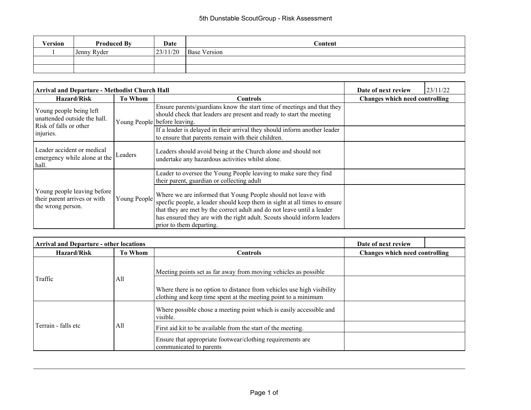| Version | <b>Produced By</b> | Date     | Content             |
|---------|--------------------|----------|---------------------|
|         | Jenny Ryder        | 23/11/20 | <b>Base Version</b> |
|         |                    |          |                     |
|         |                    |          |                     |

| <b>Arrival and Departure - Methodist Church Hall</b>                              | Date of next review               | 23/11/22                                                                                                                                                                                                                                                                                                                    |                                       |  |  |
|-----------------------------------------------------------------------------------|-----------------------------------|-----------------------------------------------------------------------------------------------------------------------------------------------------------------------------------------------------------------------------------------------------------------------------------------------------------------------------|---------------------------------------|--|--|
| <b>Hazard/Risk</b>                                                                | <b>To Whom</b><br><b>Controls</b> |                                                                                                                                                                                                                                                                                                                             | <b>Changes which need controlling</b> |  |  |
| Young people being left<br>unattended outside the hall.<br>Risk of falls or other |                                   | Ensure parents/guardians know the start time of meetings and that they<br>should check that leaders are present and ready to start the meeting<br>Young People before leaving.                                                                                                                                              |                                       |  |  |
| injuries.                                                                         |                                   | If a leader is delayed in their arrival they should inform another leader<br>to ensure that parents remain with their children.                                                                                                                                                                                             |                                       |  |  |
| Leader accident or medical<br>emergency while alone at the<br>  hall.             | Leaders                           | Leaders should avoid being at the Church alone and should not<br>undertake any hazardous activities whilst alone.                                                                                                                                                                                                           |                                       |  |  |
|                                                                                   |                                   | Leader to oversee the Young People leaving to make sure they find<br>their parent, guardian or collecting adult                                                                                                                                                                                                             |                                       |  |  |
| Young people leaving before<br>their parent arrives or with<br>the wrong person.  | Young People                      | Where we are informed that Young People should not leave with<br>specfic people, a leader should keep them in sight at all times to ensure<br>that they are met by the correct adult and do not leave until a leader<br>has ensured they are with the right adult. Scouts should inform leaders<br>prior to them departing. |                                       |  |  |

| <b>Arrival and Departure - other locations</b> |                |                                                                                                                                          | Date of next review                   |  |
|------------------------------------------------|----------------|------------------------------------------------------------------------------------------------------------------------------------------|---------------------------------------|--|
| <b>Hazard/Risk</b>                             | <b>To Whom</b> | <b>Controls</b>                                                                                                                          | <b>Changes which need controlling</b> |  |
|                                                | All            | Meeting points set as far away from moving vehicles as possible.                                                                         |                                       |  |
| Traffic                                        |                | Where there is no option to distance from vehicles use high visibility<br>clothing and keep time spent at the meeting point to a minimum |                                       |  |
|                                                | All            | Where possible chose a meeting point which is easily accessible and<br>visible.                                                          |                                       |  |
| Terrain - falls etc                            |                | First aid kit to be available from the start of the meeting.                                                                             |                                       |  |
|                                                |                | Ensure that appropriate footwear/clothing requirements are<br>communicated to parents                                                    |                                       |  |